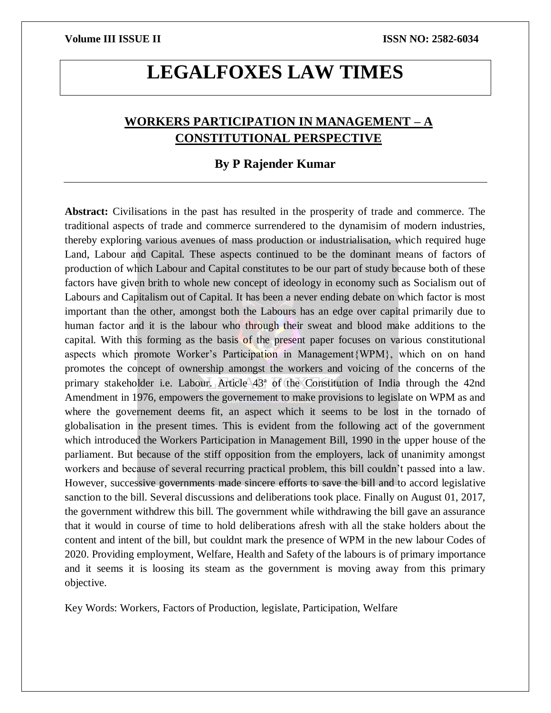# **LEGALFOXES LAW TIMES**

## **WORKERS PARTICIPATION IN MANAGEMENT – A CONSTITUTIONAL PERSPECTIVE**

### **By P Rajender Kumar**

**Abstract:** Civilisations in the past has resulted in the prosperity of trade and commerce. The traditional aspects of trade and commerce surrendered to the dynamisim of modern industries, thereby exploring various avenues of mass production or industrialisation, which required huge Land, Labour and Capital. These aspects continued to be the dominant means of factors of production of which Labour and Capital constitutes to be our part of study because both of these factors have given brith to whole new concept of ideology in economy such as Socialism out of Labours and Capitalism out of Capital. It has been a never ending debate on which factor is most important than the other, amongst both the Labours has an edge over capital primarily due to human factor and it is the labour who through their sweat and blood make additions to the capital. With this forming as the basis of the present paper focuses on various constitutional aspects which promote Worker's Participation in Management{WPM}, which on on hand promotes the concept of ownership amongst the workers and voicing of the concerns of the primary stakeholder i.e. Labour. Article 43ª of the Constitution of India through the 42nd Amendment in 1976, empowers the governement to make provisions to legislate on WPM as and where the governement deems fit, an aspect which it seems to be lost in the tornado of globalisation in the present times. This is evident from the following act of the government which introduced the Workers Participation in Management Bill, 1990 in the upper house of the parliament. But because of the stiff opposition from the employers, lack of unanimity amongst workers and because of several recurring practical problem, this bill couldn't passed into a law. However, successive governments made sincere efforts to save the bill and to accord legislative sanction to the bill. Several discussions and deliberations took place. Finally on August 01, 2017, the government withdrew this bill. The government while withdrawing the bill gave an assurance that it would in course of time to hold deliberations afresh with all the stake holders about the content and intent of the bill, but couldnt mark the presence of WPM in the new labour Codes of 2020. Providing employment, Welfare, Health and Safety of the labours is of primary importance and it seems it is loosing its steam as the government is moving away from this primary objective.

Key Words: Workers, Factors of Production, legislate, Participation, Welfare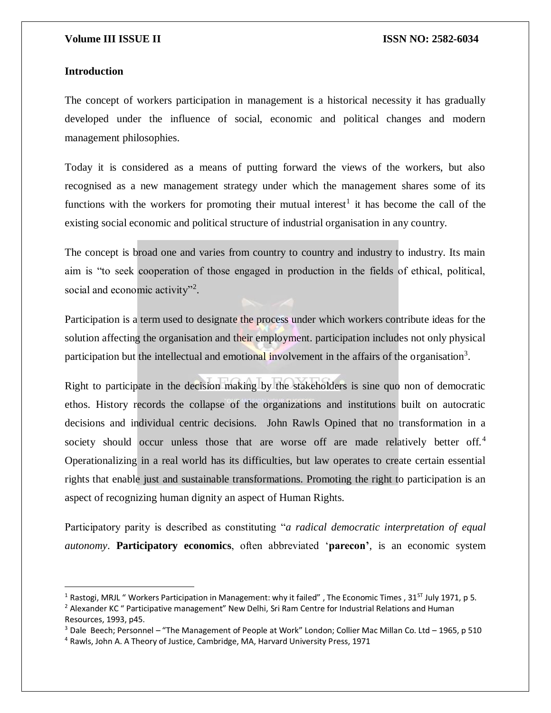### **Introduction**

 $\overline{a}$ 

The concept of workers participation in management is a historical necessity it has gradually developed under the influence of social, economic and political changes and modern management philosophies.

Today it is considered as a means of putting forward the views of the workers, but also recognised as a new management strategy under which the management shares some of its functions with the workers for promoting their mutual interest<sup>1</sup> it has become the call of the existing social economic and political structure of industrial organisation in any country.

The concept is broad one and varies from country to country and industry to industry. Its main aim is "to seek cooperation of those engaged in production in the fields of ethical, political, social and economic activity"<sup>2</sup>.

Participation is a term used to designate the process under which workers contribute ideas for the solution affecting the organisation and their employment. participation includes not only physical participation but the intellectual and emotional involvement in the affairs of the organisation<sup>3</sup>.

Right to participate in the decision making by the stakeholders is sine quo non of democratic ethos. History records the collapse of the organizations and institutions built on autocratic decisions and individual centric decisions. John Rawls Opined that no transformation in a society should occur unless those that are worse off are made relatively better off.<sup>4</sup> Operationalizing in a real world has its difficulties, but law operates to create certain essential rights that enable just and sustainable transformations. Promoting the right to participation is an aspect of recognizing human dignity an aspect of Human Rights.

Participatory parity is described as constituting "*a radical democratic interpretation of equal autonomy*. **Participatory economics**, often abbreviated '**parecon'**, is an economic system

<sup>&</sup>lt;sup>1</sup> Rastogi, MRJL " Workers Participation in Management: why it failed", The Economic Times, 31<sup>ST</sup> July 1971, p 5.

<sup>&</sup>lt;sup>2</sup> Alexander KC " Participative management" New Delhi, Sri Ram Centre for Industrial Relations and Human Resources, 1993, p45.

<sup>3</sup> Dale Beech; Personnel – "The Management of People at Work" London; Collier Mac Millan Co. Ltd – 1965, p 510

<sup>4</sup> Rawls, John A. A Theory of Justice, Cambridge, MA, Harvard University Press, 1971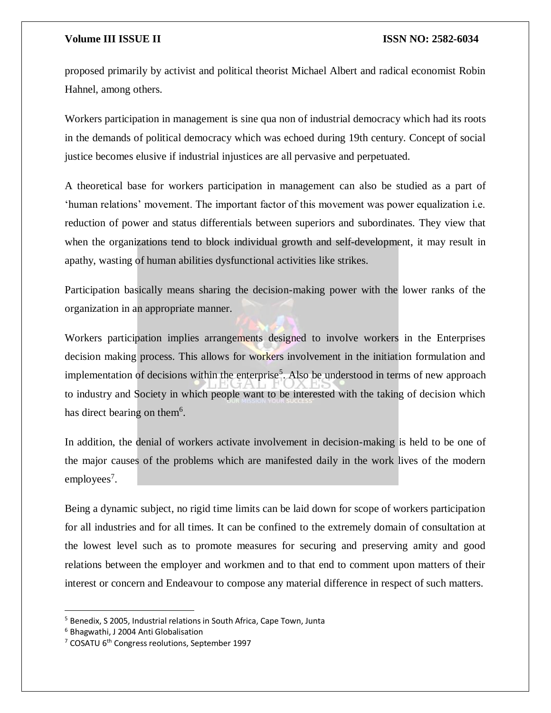proposed primarily by activist and political theorist Michael Albert and radical economist Robin Hahnel, among others.

Workers participation in management is sine qua non of industrial democracy which had its roots in the demands of political democracy which was echoed during 19th century. Concept of social justice becomes elusive if industrial injustices are all pervasive and perpetuated.

A theoretical base for workers participation in management can also be studied as a part of 'human relations' movement. The important factor of this movement was power equalization i.e. reduction of power and status differentials between superiors and subordinates. They view that when the organizations tend to block individual growth and self-development, it may result in apathy, wasting of human abilities dysfunctional activities like strikes.

Participation basically means sharing the decision-making power with the lower ranks of the organization in an appropriate manner.

Workers participation implies arrangements designed to involve workers in the Enterprises decision making process. This allows for workers involvement in the initiation formulation and implementation of decisions within the enterprise<sup>5</sup>. Also be understood in terms of new approach to industry and Society in which people want to be interested with the taking of decision which has direct bearing on them<sup>6</sup>.

In addition, the denial of workers activate involvement in decision-making is held to be one of the major causes of the problems which are manifested daily in the work lives of the modern employees<sup>7</sup>.

Being a dynamic subject, no rigid time limits can be laid down for scope of workers participation for all industries and for all times. It can be confined to the extremely domain of consultation at the lowest level such as to promote measures for securing and preserving amity and good relations between the employer and workmen and to that end to comment upon matters of their interest or concern and Endeavour to compose any material difference in respect of such matters.

 $\overline{a}$ 

<sup>5</sup> Benedix, S 2005, Industrial relations in South Africa, Cape Town, Junta

<sup>6</sup> Bhagwathi, J 2004 Anti Globalisation

<sup>&</sup>lt;sup>7</sup> COSATU 6<sup>th</sup> Congress reolutions, September 1997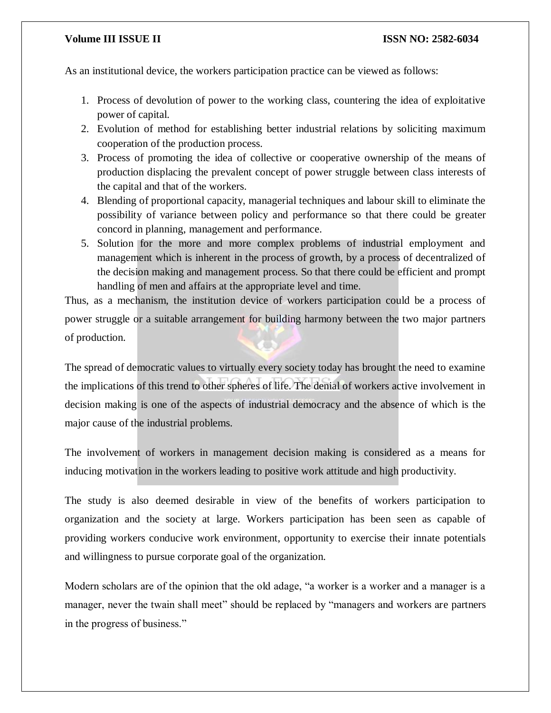### **Volume III ISSUE II ISSUE II ISSN NO:** 2582-6034

As an institutional device, the workers participation practice can be viewed as follows:

- 1. Process of devolution of power to the working class, countering the idea of exploitative power of capital.
- 2. Evolution of method for establishing better industrial relations by soliciting maximum cooperation of the production process.
- 3. Process of promoting the idea of collective or cooperative ownership of the means of production displacing the prevalent concept of power struggle between class interests of the capital and that of the workers.
- 4. Blending of proportional capacity, managerial techniques and labour skill to eliminate the possibility of variance between policy and performance so that there could be greater concord in planning, management and performance.
- 5. Solution for the more and more complex problems of industrial employment and management which is inherent in the process of growth, by a process of decentralized of the decision making and management process. So that there could be efficient and prompt handling of men and affairs at the appropriate level and time.

Thus, as a mechanism, the institution device of workers participation could be a process of power struggle or a suitable arrangement for building harmony between the two major partners of production.

The spread of democratic values to virtually every society today has brought the need to examine the implications of this trend to other spheres of life. The denial of workers active involvement in decision making is one of the aspects of industrial democracy and the absence of which is the major cause of the industrial problems.

The involvement of workers in management decision making is considered as a means for inducing motivation in the workers leading to positive work attitude and high productivity.

The study is also deemed desirable in view of the benefits of workers participation to organization and the society at large. Workers participation has been seen as capable of providing workers conducive work environment, opportunity to exercise their innate potentials and willingness to pursue corporate goal of the organization.

Modern scholars are of the opinion that the old adage, "a worker is a worker and a manager is a manager, never the twain shall meet" should be replaced by "managers and workers are partners in the progress of business."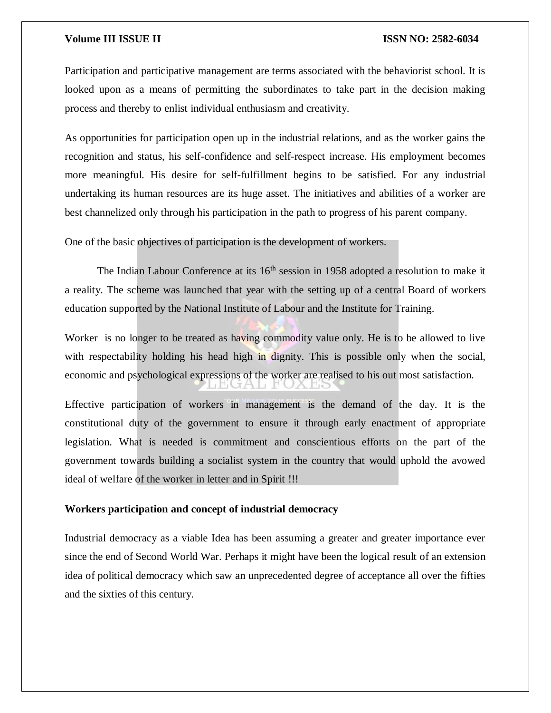Participation and participative management are terms associated with the behaviorist school. It is looked upon as a means of permitting the subordinates to take part in the decision making process and thereby to enlist individual enthusiasm and creativity.

As opportunities for participation open up in the industrial relations, and as the worker gains the recognition and status, his self-confidence and self-respect increase. His employment becomes more meaningful. His desire for self-fulfillment begins to be satisfied. For any industrial undertaking its human resources are its huge asset. The initiatives and abilities of a worker are best channelized only through his participation in the path to progress of his parent company.

One of the basic objectives of participation is the development of workers.

The Indian Labour Conference at its  $16<sup>th</sup>$  session in 1958 adopted a resolution to make it a reality. The scheme was launched that year with the setting up of a central Board of workers education supported by the National Institute of Labour and the Institute for Training.

Worker is no longer to be treated as having commodity value only. He is to be allowed to live with respectability holding his head high in dignity. This is possible only when the social, economic and psychological expressions of the worker are realised to his out most satisfaction.

Effective participation of workers in management is the demand of the day. It is the constitutional duty of the government to ensure it through early enactment of appropriate legislation. What is needed is commitment and conscientious efforts on the part of the government towards building a socialist system in the country that would uphold the avowed ideal of welfare of the worker in letter and in Spirit !!!

#### **Workers participation and concept of industrial democracy**

Industrial democracy as a viable Idea has been assuming a greater and greater importance ever since the end of Second World War. Perhaps it might have been the logical result of an extension idea of political democracy which saw an unprecedented degree of acceptance all over the fifties and the sixties of this century.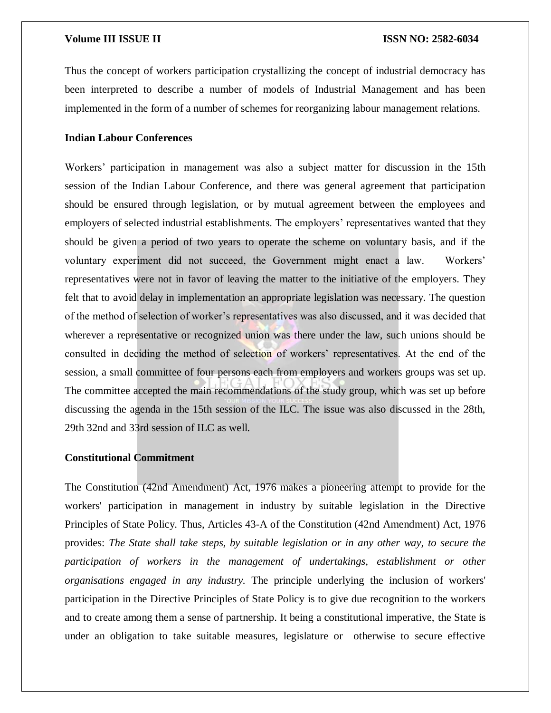Thus the concept of workers participation crystallizing the concept of industrial democracy has been interpreted to describe a number of models of Industrial Management and has been implemented in the form of a number of schemes for reorganizing labour management relations.

### **Indian Labour Conferences**

Workers' participation in management was also a subject matter for discussion in the 15th session of the Indian Labour Conference, and there was general agreement that participation should be ensured through legislation, or by mutual agreement between the employees and employers of selected industrial establishments. The employers' representatives wanted that they should be given a period of two years to operate the scheme on voluntary basis, and if the voluntary experiment did not succeed, the Government might enact a law. Workers' representatives were not in favor of leaving the matter to the initiative of the employers. They felt that to avoid delay in implementation an appropriate legislation was necessary. The question of the method of selection of worker's representatives was also discussed, and it was decided that wherever a representative or recognized union was there under the law, such unions should be consulted in deciding the method of selection of workers' representatives. At the end of the session, a small committee of four persons each from employers and workers groups was set up. The committee accepted the main recommendations of the study group, which was set up before discussing the agenda in the 15th session of the ILC. The issue was also discussed in the 28th, 29th 32nd and 33rd session of ILC as well.

#### **Constitutional Commitment**

The Constitution (42nd Amendment) Act, 1976 makes a pioneering attempt to provide for the workers' participation in management in industry by suitable legislation in the Directive Principles of State Policy. Thus, Articles 43-A of the Constitution (42nd Amendment) Act, 1976 provides: *The State shall take steps, by suitable legislation or in any other way, to secure the participation of workers in the management of undertakings, establishment or other organisations engaged in any industry.* The principle underlying the inclusion of workers' participation in the Directive Principles of State Policy is to give due recognition to the workers and to create among them a sense of partnership. It being a constitutional imperative, the State is under an obligation to take suitable measures, legislature or otherwise to secure effective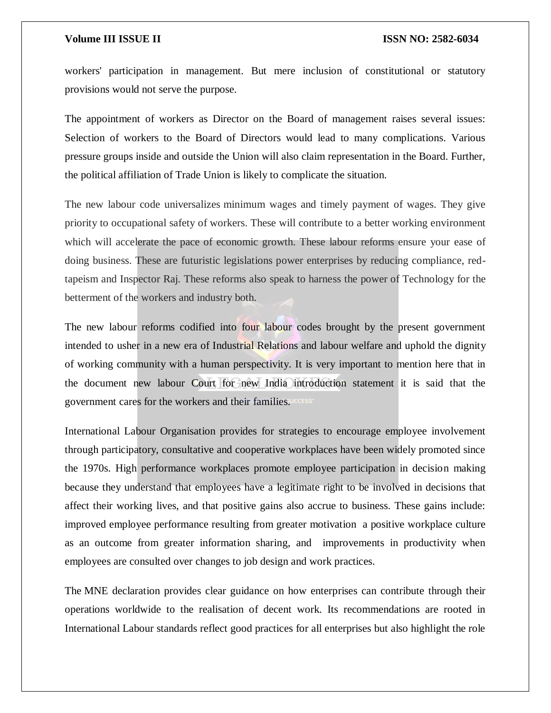workers' participation in management. But mere inclusion of constitutional or statutory provisions would not serve the purpose.

The appointment of workers as Director on the Board of management raises several issues: Selection of workers to the Board of Directors would lead to many complications. Various pressure groups inside and outside the Union will also claim representation in the Board. Further, the political affiliation of Trade Union is likely to complicate the situation.

The new labour code universalizes minimum wages and timely payment of wages. They give priority to occupational safety of workers. These will contribute to a better working environment which will accelerate the pace of economic growth. These labour reforms ensure your ease of doing business. These are futuristic legislations power enterprises by reducing compliance, redtapeism and Inspector Raj. These reforms also speak to harness the power of Technology for the betterment of the workers and industry both.

The new labour reforms codified into four labour codes brought by the present government intended to usher in a new era of Industrial Relations and labour welfare and uphold the dignity of working community with a human perspectivity. It is very important to mention here that in the document new labour Court for new India introduction statement it is said that the government cares for the workers and their families.

International Labour Organisation provides for strategies to encourage employee involvement through participatory, consultative and cooperative workplaces have been widely promoted since the 1970s. High performance workplaces promote employee participation in decision making because they understand that employees have a legitimate right to be involved in decisions that affect their working lives, and that positive gains also accrue to business. These gains include: improved employee performance resulting from greater motivation a positive workplace culture as an outcome from greater information sharing, and improvements in productivity when employees are consulted over changes to job design and work practices.

The MNE declaration provides clear guidance on how enterprises can contribute through their operations worldwide to the realisation of decent work. Its recommendations are rooted in International Labour standards reflect good practices for all enterprises but also highlight the role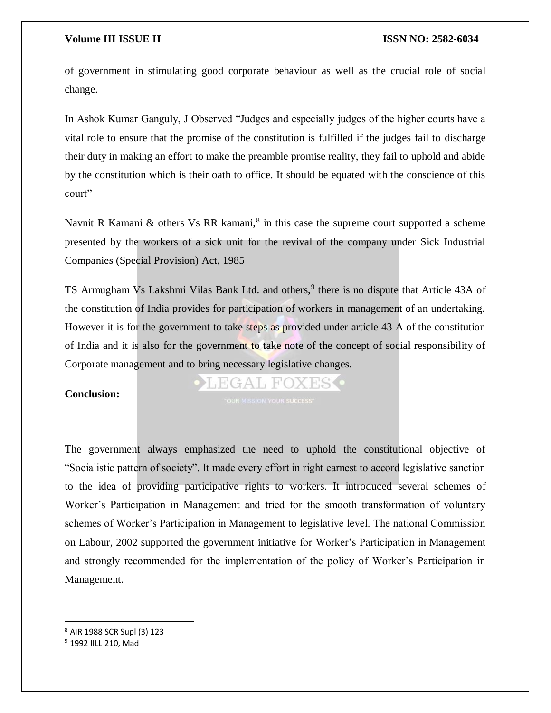of government in stimulating good corporate behaviour as well as the crucial role of social change.

In Ashok Kumar Ganguly, J Observed "Judges and especially judges of the higher courts have a vital role to ensure that the promise of the constitution is fulfilled if the judges fail to discharge their duty in making an effort to make the preamble promise reality, they fail to uphold and abide by the constitution which is their oath to office. It should be equated with the conscience of this court"

Navnit R Kamani & others Vs RR kamani,<sup>8</sup> in this case the supreme court supported a scheme presented by the workers of a sick unit for the revival of the company under Sick Industrial Companies (Special Provision) Act, 1985

TS Armugham Vs Lakshmi Vilas Bank Ltd. and others,<sup>9</sup> there is no dispute that Article 43A of the constitution of India provides for participation of workers in management of an undertaking. However it is for the government to take steps as provided under article 43 A of the constitution of India and it is also for the government to take note of the concept of social responsibility of Corporate management and to bring necessary legislative changes.

### **Conclusion:**

FGAL FOXES

The government always emphasized the need to uphold the constitutional objective of "Socialistic pattern of society". It made every effort in right earnest to accord legislative sanction to the idea of providing participative rights to workers. It introduced several schemes of Worker's Participation in Management and tried for the smooth transformation of voluntary schemes of Worker's Participation in Management to legislative level. The national Commission on Labour, 2002 supported the government initiative for Worker's Participation in Management and strongly recommended for the implementation of the policy of Worker's Participation in Management.

 $\overline{\phantom{a}}$ 

<sup>8</sup> AIR 1988 SCR Supl (3) 123

<sup>9</sup> 1992 IILL 210, Mad